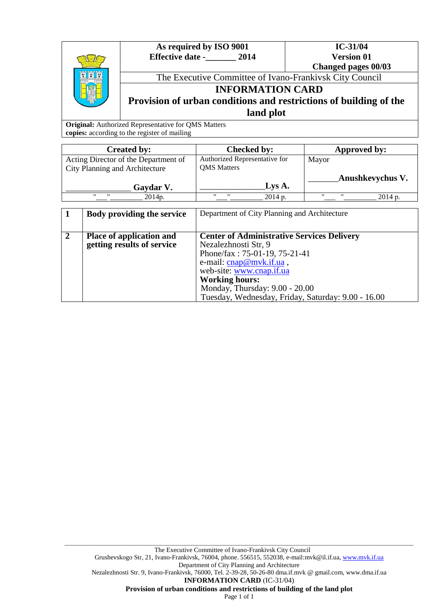|  | As required by ISO 9001<br><b>Effective date -</b><br>2014        | $IC-31/04$<br><b>Version 01</b> |  |
|--|-------------------------------------------------------------------|---------------------------------|--|
|  |                                                                   | Changed pages 00/03             |  |
|  | The Executive Committee of Ivano-Frankivsk City Council           |                                 |  |
|  | <b>INFORMATION CARD</b>                                           |                                 |  |
|  | Provision of urban conditions and restrictions of building of the |                                 |  |
|  | land plot                                                         |                                 |  |

**Original:** Authorized Representative for QMS Matters **copies:** according to the register of mailing

| <b>Checked by:</b>                                  | Approved by:                 |
|-----------------------------------------------------|------------------------------|
| Authorized Representative for                       | Mayor                        |
|                                                     |                              |
|                                                     | Anushkevychus V.             |
|                                                     |                              |
| $^{\prime\prime}$<br>$^{\prime\prime}$<br>$2014p$ . | $2014p$ .                    |
|                                                     | <b>QMS</b> Matters<br>Lys A. |

|              | Body providing the service      | Department of City Planning and Architecture       |
|--------------|---------------------------------|----------------------------------------------------|
|              |                                 |                                                    |
| $\mathbf{2}$ | <b>Place of application and</b> | <b>Center of Administrative Services Delivery</b>  |
|              | getting results of service      | Nezalezhnosti Str, 9                               |
|              |                                 | Phone/fax: 75-01-19, 75-21-41                      |
|              |                                 | e-mail: cnap@mvk.if.ua,                            |
|              |                                 | web-site: www.cnap.if.ua                           |
|              |                                 | <b>Working hours:</b>                              |
|              |                                 | Monday, Thursday: 9.00 - 20.00                     |
|              |                                 | Tuesday, Wednesday, Friday, Saturday: 9.00 - 16.00 |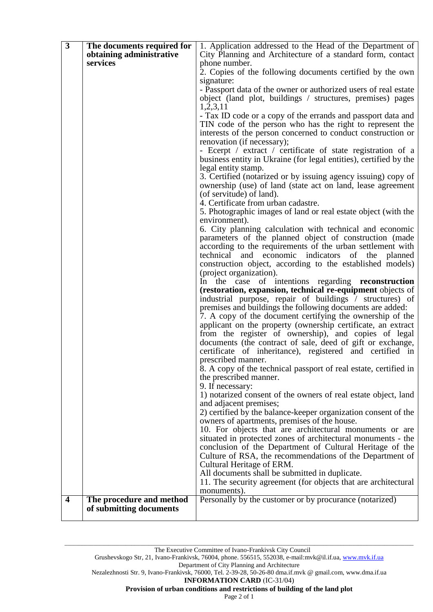| $\overline{\mathbf{3}}$ | The documents required for | 1. Application addressed to the Head of the Department of                                                                 |
|-------------------------|----------------------------|---------------------------------------------------------------------------------------------------------------------------|
|                         | obtaining administrative   | City Planning and Architecture of a standard form, contact                                                                |
|                         | services                   | phone number.                                                                                                             |
|                         |                            | 2. Copies of the following documents certified by the own                                                                 |
|                         |                            | signature:                                                                                                                |
|                         |                            | - Passport data of the owner or authorized users of real estate                                                           |
|                         |                            | object (land plot, buildings / structures, premises) pages                                                                |
|                         |                            | 1,2,3,11                                                                                                                  |
|                         |                            | - Tax ID code or a copy of the errands and passport data and                                                              |
|                         |                            | TIN code of the person who has the right to represent the                                                                 |
|                         |                            | interests of the person concerned to conduct construction or                                                              |
|                         |                            | renovation (if necessary);                                                                                                |
|                         |                            | - Ecerpt / extract / certificate of state registration of a                                                               |
|                         |                            | business entity in Ukraine (for legal entities), certified by the                                                         |
|                         |                            | legal entity stamp.                                                                                                       |
|                         |                            | 3. Certified (notarized or by issuing agency issuing) copy of                                                             |
|                         |                            | ownership (use) of land (state act on land, lease agreement                                                               |
|                         |                            | (of servitude) of land).<br>4. Certificate from urban cadastre.                                                           |
|                         |                            | 5. Photographic images of land or real estate object (with the                                                            |
|                         |                            | environment).                                                                                                             |
|                         |                            | 6. City planning calculation with technical and economic                                                                  |
|                         |                            | parameters of the planned object of construction (made                                                                    |
|                         |                            | according to the requirements of the urban settlement with                                                                |
|                         |                            | technical and economic indicators of the planned                                                                          |
|                         |                            | construction object, according to the established models)                                                                 |
|                         |                            | (project organization).                                                                                                   |
|                         |                            | In the case of intentions regarding reconstruction                                                                        |
|                         |                            | (restoration, expansion, technical re-equipment objects of                                                                |
|                         |                            | industrial purpose, repair of buildings / structures) of                                                                  |
|                         |                            | premises and buildings the following documents are added:                                                                 |
|                         |                            | 7. A copy of the document certifying the ownership of the<br>applicant on the property (ownership certificate, an extract |
|                         |                            | from the register of ownership), and copies of legal                                                                      |
|                         |                            | documents (the contract of sale, deed of gift or exchange,                                                                |
|                         |                            | certificate of inheritance), registered and certified in                                                                  |
|                         |                            | prescribed manner.                                                                                                        |
|                         |                            | 8. A copy of the technical passport of real estate, certified in                                                          |
|                         |                            | the prescribed manner.                                                                                                    |
|                         |                            | 9. If necessary:                                                                                                          |
|                         |                            | 1) notarized consent of the owners of real estate object, land                                                            |
|                         |                            | and adjacent premises;                                                                                                    |
|                         |                            | 2) certified by the balance-keeper organization consent of the                                                            |
|                         |                            | owners of apartments, premises of the house.                                                                              |
|                         |                            | 10. For objects that are architectural monuments or are                                                                   |
|                         |                            | situated in protected zones of architectural monuments - the                                                              |
|                         |                            | conclusion of the Department of Cultural Heritage of the<br>Culture of RSA, the recommendations of the Department of      |
|                         |                            | Cultural Heritage of ERM.                                                                                                 |
|                         |                            | All documents shall be submitted in duplicate.                                                                            |
|                         |                            | 11. The security agreement (for objects that are architectural                                                            |
|                         |                            | monuments).                                                                                                               |
| $\overline{\mathbf{4}}$ | The procedure and method   | Personally by the customer or by procurance (notarized)                                                                   |
|                         | of submitting documents    |                                                                                                                           |
|                         |                            |                                                                                                                           |

\_\_\_\_\_\_\_\_\_\_\_\_\_\_\_\_\_\_\_\_\_\_\_\_\_\_\_\_\_\_\_\_\_\_\_\_\_\_\_\_\_\_\_\_\_\_\_\_\_\_\_\_\_\_\_\_\_\_\_\_\_\_\_\_\_\_\_\_\_\_\_\_\_\_\_\_\_\_\_\_\_\_\_\_\_\_\_\_\_\_\_\_\_\_\_\_\_\_\_\_\_\_\_\_\_\_\_\_\_\_\_\_\_\_\_\_\_\_\_\_

Nezalezhnosti Str. 9, Ivano-Frankivsk, 76000, Tel. 2-39-28, 50-26-80 dma.if.mvk @ gmail.com, www.dma.if.ua

**INFORMATION CARD** (ІC-31/04)

**Provision of urban conditions and restrictions of building of the land plot**

Grushevskogo Str, 21, Ivano-Frankivsk, 76004, phone. 556515, 552038, e-mail:mvk@il.if.ua, www.mvk.if.ua Department of City Planning and Architecture